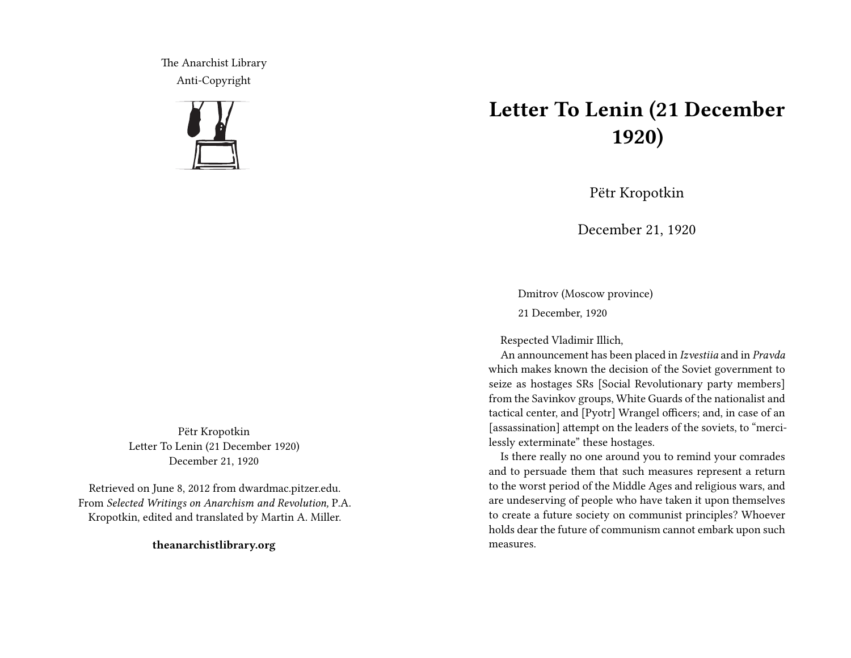The Anarchist Library Anti-Copyright



Pëtr Kropotkin Letter To Lenin (21 December 1920) December 21, 1920

Retrieved on June 8, 2012 from dwardmac.pitzer.edu. From *Selected Writings on Anarchism and Revolution,* P.A. Kropotkin, edited and translated by Martin A. Miller.

**theanarchistlibrary.org**

## **Letter To Lenin (21 December 1920)**

Pëtr Kropotkin

December 21, 1920

Dmitrov (Moscow province) 21 December, 1920

Respected Vladimir Illich,

An announcement has been placed in *Izvestiia* and in *Pravda* which makes known the decision of the Soviet government to seize as hostages SRs [Social Revolutionary party members] from the Savinkov groups, White Guards of the nationalist and tactical center, and [Pyotr] Wrangel officers; and, in case of an [assassination] attempt on the leaders of the soviets, to "mercilessly exterminate" these hostages.

Is there really no one around you to remind your comrades and to persuade them that such measures represent a return to the worst period of the Middle Ages and religious wars, and are undeserving of people who have taken it upon themselves to create a future society on communist principles? Whoever holds dear the future of communism cannot embark upon such measures.